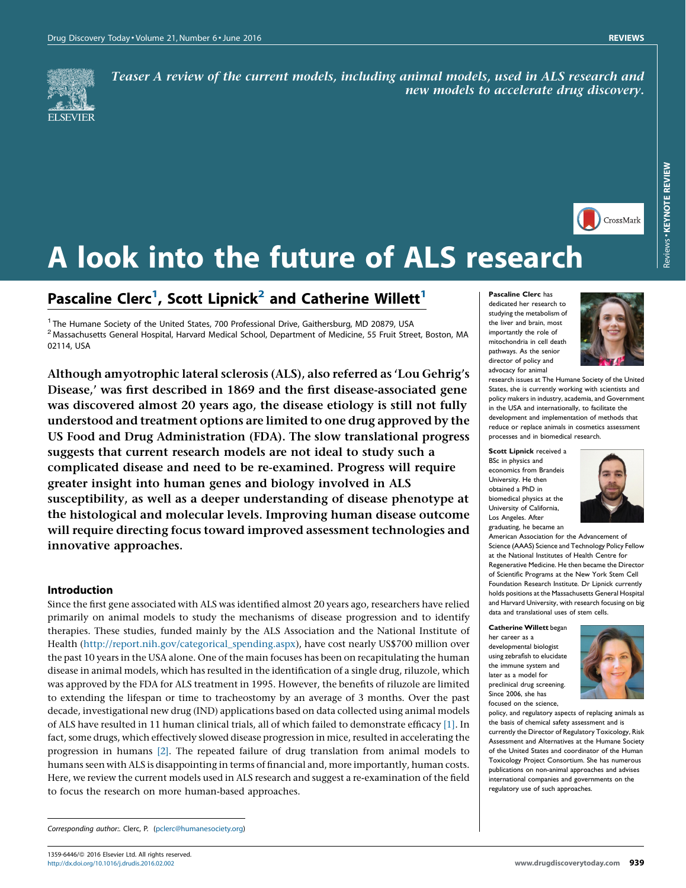

Teaser A review of the current models, including animal models, used in ALS research and new models to accelerate drug discovery.



Reviews -

KEYNOTE REVIEW

Reviews . KEYNOTE REVIEW

# A look into the future of ALS research

## Pascaline Clerc<sup>1</sup>, Scott Lipnick<sup>2</sup> and Catherine Willett<sup>1</sup>

<sup>1</sup> The Humane Society of the United States, 700 Professional Drive, Gaithersburg, MD 20879, USA  $^2$  Massachusetts General Hospital, Harvard Medical School, Department of Medicine, 55 Fruit Street, Boston, MA 02114, USA

Although amyotrophic lateral sclerosis (ALS), also referred as 'Lou Gehrig's Disease,' was first described in 1869 and the first disease-associated gene was discovered almost 20 years ago, the disease etiology is still not fully understood and treatment options are limited to one drug approved by the US Food and Drug Administration (FDA). The slow translational progress suggests that current research models are not ideal to study such a complicated disease and need to be re-examined. Progress will require greater insight into human genes and biology involved in ALS susceptibility, as well as a deeper understanding of disease phenotype at the histological and molecular levels. Improving human disease outcome will require directing focus toward improved assessment technologies and innovative approaches.

## Introduction

Since the first gene associated with ALS was identified almost 20 years ago, researchers have relied primarily on animal models to study the mechanisms of disease progression and to identify therapies. These studies, funded mainly by the ALS Association and the National Institute of Health ([http://report.nih.gov/categorical\\_spending.aspx](http://report.nih.gov/categorical_spending.aspx)), have cost nearly US\$700 million over the past 10 years in the USA alone. One of the main focuses has been on recapitulating the human disease in animal models, which has resulted in the identification of a single drug, riluzole, which was approved by the FDA for ALS treatment in 1995. However, the benefits of riluzole are limited to extending the lifespan or time to tracheostomy by an average of 3 months. Over the past decade, investigational new drug (IND) applications based on data collected using animal models of ALS have resulted in 11 human clinical trials, all of which failed to demonstrate efficacy [\[1\].](#page-8-0) In fact, some drugs, which effectively slowed disease progression in mice, resulted in accelerating the progression in humans [\[2\].](#page-8-0) The repeated failure of drug translation from animal models to humans seen with ALS is disappointing in terms of financial and, more importantly, human costs. Here, we review the current models used in ALS research and suggest a re-examination of the field to focus the research on more human-based approaches.

Pascaline Clerc has dedicated her research to studying the metabolism of the liver and brain, most importantly the role of mitochondria in cell death pathways. As the senior director of policy and advocacy for animal



research issues at The Humane Society of the United States, she is currently working with scientists and policy makers in industry, academia, and Government in the USA and internationally, to facilitate the development and implementation of methods that reduce or replace animals in cosmetics assessment processes and in biomedical research.

Scott Lipnick received a BSc in physics and economics from Brandeis University. He then obtained a PhD in biomedical physics at the University of California, Los Angeles. After graduating, he became an



American Association for the Advancement of Science (AAAS) Science and Technology Policy Fellow at the National Institutes of Health Centre for Regenerative Medicine. He then became the Director of Scientific Programs at the New York Stem Cell Foundation Research Institute. Dr Lipnick currently holds positions at the Massachusetts General Hospital and Harvard University, with research focusing on big data and translational uses of stem cells.

## Catherine Willett began

her career as a developmental biologist using zebrafish to elucidate the immune system and later as a model for preclinical drug screening. Since 2006, she has focused on the science,



policy, and regulatory aspects of replacing animals as the basis of chemical safety assessment and is currently the Director of Regulatory Toxicology, Risk Assessment and Alternatives at the Humane Society of the United States and coordinator of the Human Toxicology Project Consortium. She has numerous publications on non-animal approaches and advises international companies and governments on the regulatory use of such approaches.

Corresponding author:. Clerc, P. [\(pclerc@humanesociety.org](mailto:pclerc@humanesociety.org))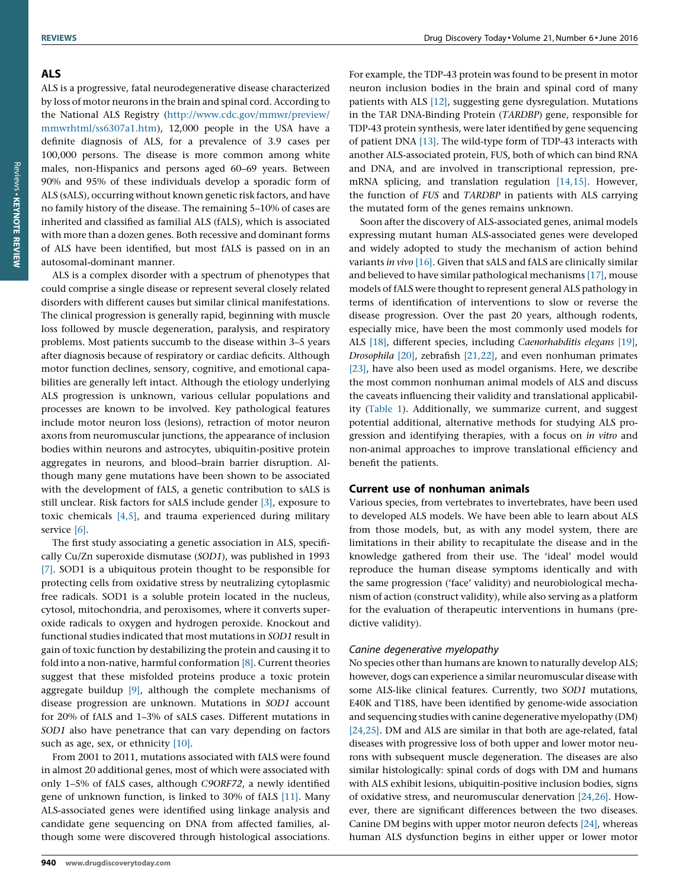## ALS

ALS is a progressive, fatal neurodegenerative disease characterized by loss of motor neurons in the brain and spinal cord. According to the National ALS Registry [\(http://www.cdc.gov/mmwr/preview/](http://www.cdc.gov/mmwr/preview/mmwrhtml/ss6307a1.htm) [mmwrhtml/ss6307a1.htm](http://www.cdc.gov/mmwr/preview/mmwrhtml/ss6307a1.htm)), 12,000 people in the USA have a definite diagnosis of ALS, for a prevalence of 3.9 cases per 100,000 persons. The disease is more common among white males, non-Hispanics and persons aged 60–69 years. Between 90% and 95% of these individuals develop a sporadic form of ALS (sALS), occurring without known genetic risk factors, and have no family history of the disease. The remaining 5–10% of cases are inherited and classified as familial ALS (fALS), which is associated with more than a dozen genes. Both recessive and dominant forms of ALS have been identified, but most fALS is passed on in an

autosomal-dominant manner. ALS is a complex disorder with a spectrum of phenotypes that could comprise a single disease or represent several closely related disorders with different causes but similar clinical manifestations. The clinical progression is generally rapid, beginning with muscle loss followed by muscle degeneration, paralysis, and respiratory problems. Most patients succumb to the disease within 3–5 years after diagnosis because of respiratory or cardiac deficits. Although motor function declines, sensory, cognitive, and emotional capabilities are generally left intact. Although the etiology underlying ALS progression is unknown, various cellular populations and processes are known to be involved. Key pathological features include motor neuron loss (lesions), retraction of motor neuron axons from neuromuscular junctions, the appearance of inclusion bodies within neurons and astrocytes, ubiquitin-positive protein aggregates in neurons, and blood–brain barrier disruption. Although many gene mutations have been shown to be associated with the development of fALS, a genetic contribution to sALS is still unclear. Risk factors for sALS include gender [\[3\]](#page-8-0), exposure to toxic chemicals [\[4,5\]](#page-8-0), and trauma experienced during military service [\[6\].](#page-8-0)

The first study associating a genetic association in ALS, specifically Cu/Zn superoxide dismutase (SOD1), was published in 1993 [\[7\]](#page-8-0). SOD1 is a ubiquitous protein thought to be responsible for protecting cells from oxidative stress by neutralizing cytoplasmic free radicals. SOD1 is a soluble protein located in the nucleus, cytosol, mitochondria, and peroxisomes, where it converts superoxide radicals to oxygen and hydrogen peroxide. Knockout and functional studies indicated that most mutations in SOD1 result in gain of toxic function by destabilizing the protein and causing it to fold into a non-native, harmful conformation [\[8\]](#page-8-0). Current theories suggest that these misfolded proteins produce a toxic protein aggregate buildup [\[9\]](#page-8-0), although the complete mechanisms of disease progression are unknown. Mutations in SOD1 account for 20% of fALS and 1–3% of sALS cases. Different mutations in SOD1 also have penetrance that can vary depending on factors such as age, sex, or ethnicity [\[10\].](#page-8-0)

From 2001 to 2011, mutations associated with fALS were found in almost 20 additional genes, most of which were associated with only 1–5% of fALS cases, although C9ORF72, a newly identified gene of unknown function, is linked to 30% of fALS [\[11\].](#page-8-0) Many ALS-associated genes were identified using linkage analysis and candidate gene sequencing on DNA from affected families, although some were discovered through histological associations.

For example, the TDP-43 protein was found to be present in motor neuron inclusion bodies in the brain and spinal cord of many patients with ALS [\[12\],](#page-8-0) suggesting gene dysregulation. Mutations in the TAR DNA-Binding Protein (TARDBP) gene, responsible for TDP-43 protein synthesis, were later identified by gene sequencing of patient DNA [\[13\].](#page-8-0) The wild-type form of TDP-43 interacts with another ALS-associated protein, FUS, both of which can bind RNA and DNA, and are involved in transcriptional repression, premRNA splicing, and translation regulation [\[14,15\]](#page-8-0). However, the function of FUS and TARDBP in patients with ALS carrying the mutated form of the genes remains unknown.

Soon after the discovery of ALS-associated genes, animal models expressing mutant human ALS-associated genes were developed and widely adopted to study the mechanism of action behind variants in vivo [\[16\]](#page-8-0). Given that sALS and fALS are clinically similar and believed to have similar pathological mechanisms [\[17\],](#page-8-0) mouse models of fALS were thought to represent general ALS pathology in terms of identification of interventions to slow or reverse the disease progression. Over the past 20 years, although rodents, especially mice, have been the most commonly used models for ALS [\[18\]](#page-8-0), different species, including Caenorhabditis elegans [\[19\]](#page-8-0), Drosophila [\[20\],](#page-8-0) zebrafish [\[21,22\],](#page-8-0) and even nonhuman primates [\[23\]](#page-8-0), have also been used as model organisms. Here, we describe the most common nonhuman animal models of ALS and discuss the caveats influencing their validity and translational applicability [\(Table](#page-2-0) 1). Additionally, we summarize current, and suggest potential additional, alternative methods for studying ALS progression and identifying therapies, with a focus on in vitro and non-animal approaches to improve translational efficiency and benefit the patients.

## Current use of nonhuman animals

Various species, from vertebrates to invertebrates, have been used to developed ALS models. We have been able to learn about ALS from those models, but, as with any model system, there are limitations in their ability to recapitulate the disease and in the knowledge gathered from their use. The 'ideal' model would reproduce the human disease symptoms identically and with the same progression ('face' validity) and neurobiological mechanism of action (construct validity), while also serving as a platform for the evaluation of therapeutic interventions in humans (predictive validity).

## Canine degenerative myelopathy

No species other than humans are known to naturally develop ALS; however, dogs can experience a similar neuromuscular disease with some ALS-like clinical features. Currently, two SOD1 mutations, E40K and T18S, have been identified by genome-wide association and sequencing studies with canine degenerative myelopathy (DM) [\[24,25\].](#page-8-0) DM and ALS are similar in that both are age-related, fatal diseases with progressive loss of both upper and lower motor neurons with subsequent muscle degeneration. The diseases are also similar histologically: spinal cords of dogs with DM and humans with ALS exhibit lesions, ubiquitin-positive inclusion bodies, signs of oxidative stress, and neuromuscular denervation [\[24,26\]](#page-8-0). However, there are significant differences between the two diseases. Canine DM begins with upper motor neuron defects [\[24\],](#page-8-0) whereas human ALS dysfunction begins in either upper or lower motor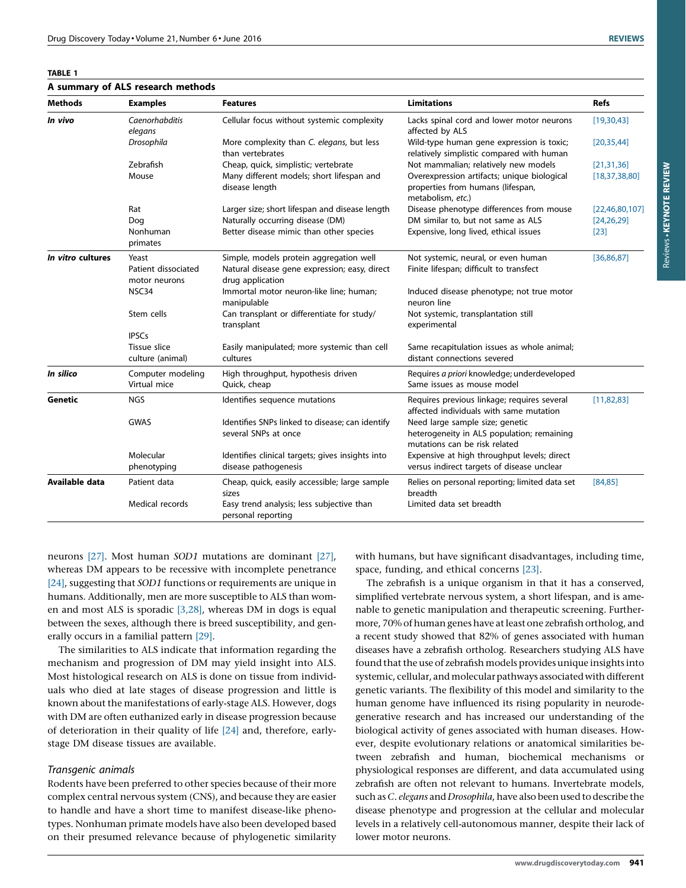A summary of ALS research methods

<span id="page-2-0"></span>

| ٠ |  |
|---|--|
|---|--|

| Methods           | <b>Examples</b>                               | <b>Features</b>                                                                                              | <b>Limitations</b>                                                                                             | <b>Refs</b>      |
|-------------------|-----------------------------------------------|--------------------------------------------------------------------------------------------------------------|----------------------------------------------------------------------------------------------------------------|------------------|
| In vivo           | Caenorhabditis<br>elegans                     | Cellular focus without systemic complexity                                                                   | Lacks spinal cord and lower motor neurons<br>affected by ALS                                                   | [19, 30, 43]     |
|                   | Drosophila                                    | More complexity than C. elegans, but less<br>than vertebrates                                                | Wild-type human gene expression is toxic;<br>relatively simplistic compared with human                         | [20, 35, 44]     |
|                   | Zebrafish                                     | Cheap, quick, simplistic; vertebrate                                                                         | Not mammalian; relatively new models                                                                           | [21, 31, 36]     |
|                   | Mouse                                         | Many different models; short lifespan and<br>disease length                                                  | Overexpression artifacts; unique biological<br>properties from humans (lifespan,<br>metabolism, etc.)          | [18, 37, 38, 80] |
|                   | Rat                                           | Larger size; short lifespan and disease length                                                               | Disease phenotype differences from mouse                                                                       | [22,46,80,107]   |
|                   | Dog                                           | Naturally occurring disease (DM)                                                                             | DM similar to, but not same as ALS                                                                             | [24, 26, 29]     |
|                   | Nonhuman<br>primates                          | Better disease mimic than other species                                                                      | Expensive, long lived, ethical issues                                                                          | $[23]$           |
| In vitro cultures | Yeast<br>Patient dissociated<br>motor neurons | Simple, models protein aggregation well<br>Natural disease gene expression; easy, direct<br>drug application | Not systemic, neural, or even human<br>Finite lifespan; difficult to transfect                                 | [36, 86, 87]     |
|                   | NSC34                                         | Immortal motor neuron-like line; human;<br>manipulable                                                       | Induced disease phenotype; not true motor<br>neuron line                                                       |                  |
|                   | Stem cells                                    | Can transplant or differentiate for study/<br>transplant                                                     | Not systemic, transplantation still<br>experimental                                                            |                  |
|                   | <b>IPSCs</b>                                  |                                                                                                              |                                                                                                                |                  |
|                   | <b>Tissue slice</b><br>culture (animal)       | Easily manipulated; more systemic than cell<br>cultures                                                      | Same recapitulation issues as whole animal;<br>distant connections severed                                     |                  |
| In silico         | Computer modeling<br>Virtual mice             | High throughput, hypothesis driven<br>Quick, cheap                                                           | Requires a priori knowledge; underdeveloped<br>Same issues as mouse model                                      |                  |
| Genetic           | <b>NGS</b>                                    | Identifies sequence mutations                                                                                | Requires previous linkage; requires several<br>affected individuals with same mutation                         | [11, 82, 83]     |
|                   | <b>GWAS</b>                                   | Identifies SNPs linked to disease; can identify<br>several SNPs at once                                      | Need large sample size; genetic<br>heterogeneity in ALS population; remaining<br>mutations can be risk related |                  |
|                   | Molecular<br>phenotyping                      | Identifies clinical targets; gives insights into<br>disease pathogenesis                                     | Expensive at high throughput levels; direct<br>versus indirect targets of disease unclear                      |                  |
| Available data    | Patient data                                  | Cheap, quick, easily accessible; large sample<br>sizes                                                       | Relies on personal reporting; limited data set<br>breadth                                                      | [84, 85]         |
|                   | Medical records                               | Easy trend analysis; less subjective than<br>personal reporting                                              | Limited data set breadth                                                                                       |                  |

neurons [\[27\]](#page-8-0). Most human SOD1 mutations are dominant [\[27\],](#page-8-0) whereas DM appears to be recessive with incomplete penetrance [\[24\],](#page-8-0) suggesting that SOD1 functions or requirements are unique in humans. Additionally, men are more susceptible to ALS than women and most ALS is sporadic  $[3,28]$ , whereas DM in dogs is equal between the sexes, although there is breed susceptibility, and generally occurs in a familial pattern [\[29\].](#page-8-0)

The similarities to ALS indicate that information regarding the mechanism and progression of DM may yield insight into ALS. Most histological research on ALS is done on tissue from individuals who died at late stages of disease progression and little is known about the manifestations of early-stage ALS. However, dogs with DM are often euthanized early in disease progression because of deterioration in their quality of life [\[24\]](#page-8-0) and, therefore, earlystage DM disease tissues are available.

#### Transgenic animals

Rodents have been preferred to other species because of their more complex central nervous system (CNS), and because they are easier to handle and have a short time to manifest disease-like phenotypes. Nonhuman primate models have also been developed based on their presumed relevance because of phylogenetic similarity

with humans, but have significant disadvantages, including time, space, funding, and ethical concerns [\[23\].](#page-8-0)

The zebrafish is a unique organism in that it has a conserved, simplified vertebrate nervous system, a short lifespan, and is amenable to genetic manipulation and therapeutic screening. Furthermore, 70% of human genes have at least one zebrafish ortholog, and a recent study showed that 82% of genes associated with human diseases have a zebrafish ortholog. Researchers studying ALS have found that the use of zebrafish models provides unique insights into systemic, cellular, and molecular pathways associated with different genetic variants. The flexibility of this model and similarity to the human genome have influenced its rising popularity in neurodegenerative research and has increased our understanding of the biological activity of genes associated with human diseases. However, despite evolutionary relations or anatomical similarities between zebrafish and human, biochemical mechanisms or physiological responses are different, and data accumulated using zebrafish are often not relevant to humans. Invertebrate models, such as C. elegans and Drosophila, have also been used to describe the disease phenotype and progression at the cellular and molecular levels in a relatively cell-autonomous manner, despite their lack of lower motor neurons.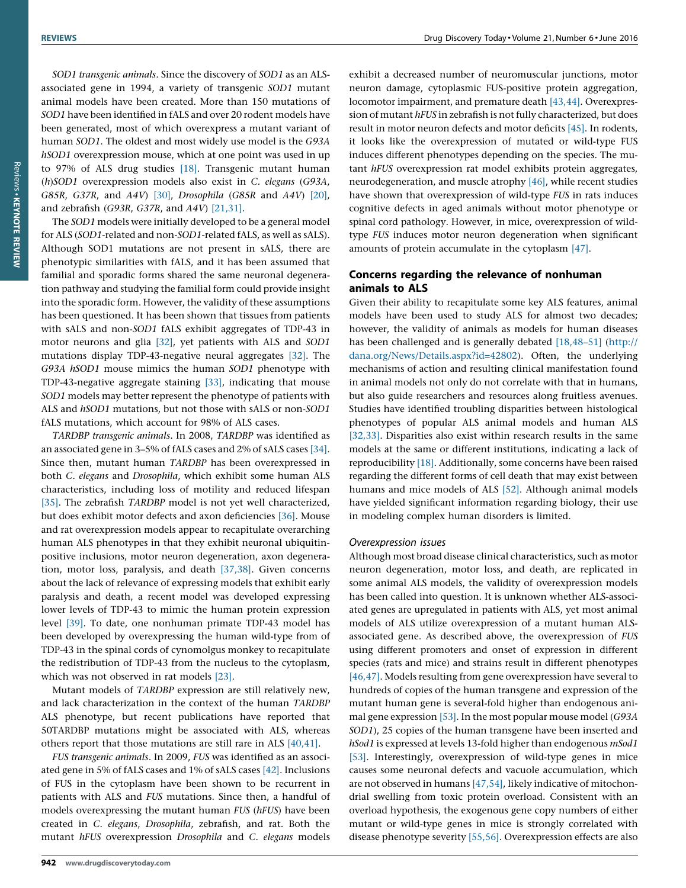SOD1 transgenic animals. Since the discovery of SOD1 as an ALSassociated gene in 1994, a variety of transgenic SOD1 mutant animal models have been created. More than 150 mutations of SOD1 have been identified in fALS and over 20 rodent models have been generated, most of which overexpress a mutant variant of human SOD1. The oldest and most widely use model is the G93A hSOD1 overexpression mouse, which at one point was used in up to 97% of ALS drug studies [\[18\]](#page-8-0). Transgenic mutant human (h)SOD1 overexpression models also exist in C. elegans (G93A, G85R, G37R, and A4V) [\[30\],](#page-8-0) Drosophila (G85R and A4V) [\[20\]](#page-8-0), and zebrafish (G93R, G37R, and A4V) [\[21,31\]](#page-8-0).

The SOD1 models were initially developed to be a general model for ALS (SOD1-related and non-SOD1-related fALS, as well as sALS). Although SOD1 mutations are not present in sALS, there are phenotypic similarities with fALS, and it has been assumed that familial and sporadic forms shared the same neuronal degeneration pathway and studying the familial form could provide insight into the sporadic form. However, the validity of these assumptions has been questioned. It has been shown that tissues from patients with sALS and non-SOD1 fALS exhibit aggregates of TDP-43 in motor neurons and glia [\[32\]](#page-8-0), yet patients with ALS and SOD1 mutations display TDP-43-negative neural aggregates [\[32\]](#page-8-0). The G93A hSOD1 mouse mimics the human SOD1 phenotype with TDP-43-negative aggregate staining [\[33\]](#page-8-0), indicating that mouse SOD1 models may better represent the phenotype of patients with ALS and hSOD1 mutations, but not those with sALS or non-SOD1 fALS mutations, which account for 98% of ALS cases.

TARDBP transgenic animals. In 2008, TARDBP was identified as an associated gene in 3–5% of fALS cases and 2% of sALS cases [\[34\]](#page-9-0). Since then, mutant human TARDBP has been overexpressed in both C. elegans and Drosophila, which exhibit some human ALS characteristics, including loss of motility and reduced lifespan [\[35\]](#page-9-0). The zebrafish TARDBP model is not yet well characterized, but does exhibit motor defects and axon deficiencies [\[36\].](#page-9-0) Mouse and rat overexpression models appear to recapitulate overarching human ALS phenotypes in that they exhibit neuronal ubiquitinpositive inclusions, motor neuron degeneration, axon degeneration, motor loss, paralysis, and death [\[37,38\].](#page-9-0) Given concerns about the lack of relevance of expressing models that exhibit early paralysis and death, a recent model was developed expressing lower levels of TDP-43 to mimic the human protein expression level [\[39\]](#page-9-0). To date, one nonhuman primate TDP-43 model has been developed by overexpressing the human wild-type from of TDP-43 in the spinal cords of cynomolgus monkey to recapitulate the redistribution of TDP-43 from the nucleus to the cytoplasm, which was not observed in rat models [\[23\]](#page-8-0).

Mutant models of TARDBP expression are still relatively new, and lack characterization in the context of the human TARDBP ALS phenotype, but recent publications have reported that 50TARDBP mutations might be associated with ALS, whereas others report that those mutations are still rare in ALS [\[40,41\]](#page-9-0).

FUS transgenic animals. In 2009, FUS was identified as an associated gene in 5% of fALS cases and 1% of sALS cases [\[42\].](#page-9-0) Inclusions of FUS in the cytoplasm have been shown to be recurrent in patients with ALS and FUS mutations. Since then, a handful of models overexpressing the mutant human FUS (hFUS) have been created in C. elegans, Drosophila, zebrafish, and rat. Both the mutant hFUS overexpression Drosophila and C. elegans models

exhibit a decreased number of neuromuscular junctions, motor neuron damage, cytoplasmic FUS-positive protein aggregation, locomotor impairment, and premature death [\[43,44\]](#page-9-0). Overexpression of mutant hFUS in zebrafish is not fully characterized, but does result in motor neuron defects and motor deficits [\[45\]](#page-9-0). In rodents, it looks like the overexpression of mutated or wild-type FUS induces different phenotypes depending on the species. The mutant hFUS overexpression rat model exhibits protein aggregates, neurodegeneration, and muscle atrophy [\[46\]](#page-9-0), while recent studies have shown that overexpression of wild-type FUS in rats induces cognitive defects in aged animals without motor phenotype or spinal cord pathology. However, in mice, overexpression of wildtype FUS induces motor neuron degeneration when significant amounts of protein accumulate in the cytoplasm [\[47\].](#page-9-0)

## Concerns regarding the relevance of nonhuman animals to ALS

Given their ability to recapitulate some key ALS features, animal models have been used to study ALS for almost two decades; however, the validity of animals as models for human diseases has been challenged and is generally debated [\[18,48–51\]](#page-8-0) ([http://](http://dana.org/News/Details.aspx?id=42802) [dana.org/News/Details.aspx?id=42802](http://dana.org/News/Details.aspx?id=42802)). Often, the underlying mechanisms of action and resulting clinical manifestation found in animal models not only do not correlate with that in humans, but also guide researchers and resources along fruitless avenues. Studies have identified troubling disparities between histological phenotypes of popular ALS animal models and human ALS [\[32,33\]](#page-8-0). Disparities also exist within research results in the same models at the same or different institutions, indicating a lack of reproducibility [\[18\].](#page-8-0) Additionally, some concerns have been raised regarding the different forms of cell death that may exist between humans and mice models of ALS [\[52\]](#page-9-0). Although animal models have yielded significant information regarding biology, their use in modeling complex human disorders is limited.

#### Overexpression issues

Although most broad disease clinical characteristics, such as motor neuron degeneration, motor loss, and death, are replicated in some animal ALS models, the validity of overexpression models has been called into question. It is unknown whether ALS-associated genes are upregulated in patients with ALS, yet most animal models of ALS utilize overexpression of a mutant human ALSassociated gene. As described above, the overexpression of FUS using different promoters and onset of expression in different species (rats and mice) and strains result in different phenotypes [\[46,47\]](#page-9-0). Models resulting from gene overexpression have several to hundreds of copies of the human transgene and expression of the mutant human gene is several-fold higher than endogenous animal gene expression [\[53\].](#page-9-0) In the most popular mouse model (G93A SOD1), 25 copies of the human transgene have been inserted and hSod1 is expressed at levels 13-fold higher than endogenous mSod1 [\[53\]](#page-9-0). Interestingly, overexpression of wild-type genes in mice causes some neuronal defects and vacuole accumulation, which are not observed in humans [\[47,54\]](#page-9-0), likely indicative of mitochondrial swelling from toxic protein overload. Consistent with an overload hypothesis, the exogenous gene copy numbers of either mutant or wild-type genes in mice is strongly correlated with disease phenotype severity [\[55,56\].](#page-9-0) Overexpression effects are also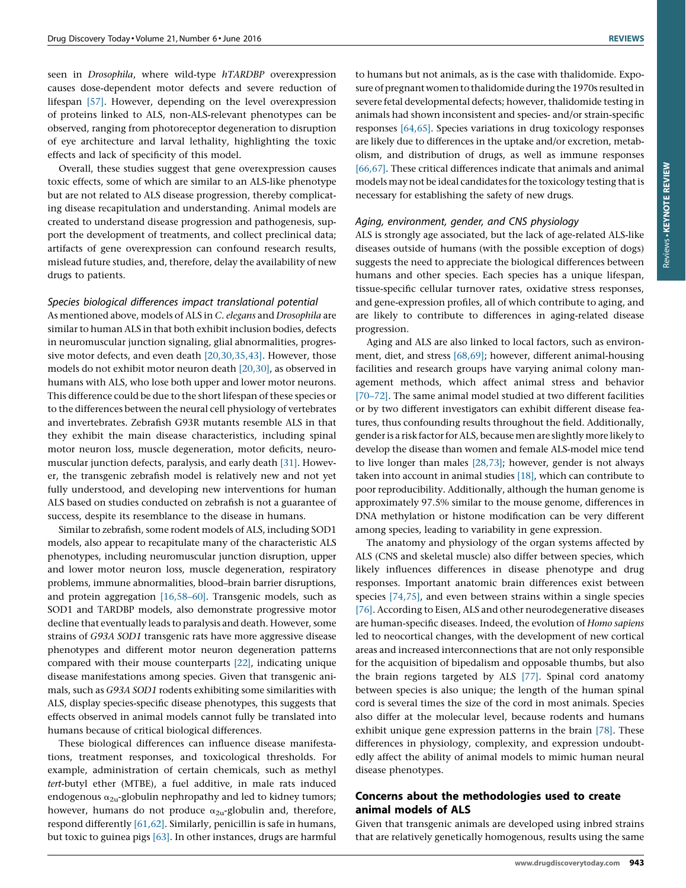seen in Drosophila, where wild-type hTARDBP overexpression causes dose-dependent motor defects and severe reduction of lifespan [\[57\].](#page-9-0) However, depending on the level overexpression of proteins linked to ALS, non-ALS-relevant phenotypes can be observed, ranging from photoreceptor degeneration to disruption of eye architecture and larval lethality, highlighting the toxic effects and lack of specificity of this model.

Overall, these studies suggest that gene overexpression causes toxic effects, some of which are similar to an ALS-like phenotype but are not related to ALS disease progression, thereby complicating disease recapitulation and understanding. Animal models are created to understand disease progression and pathogenesis, support the development of treatments, and collect preclinical data; artifacts of gene overexpression can confound research results, mislead future studies, and, therefore, delay the availability of new drugs to patients.

## Species biological differences impact translational potential

As mentioned above, models of ALS in C. elegans and Drosophila are similar to human ALS in that both exhibit inclusion bodies, defects in neuromuscular junction signaling, glial abnormalities, progressive motor defects, and even death [\[20,30,35,43\]](#page-8-0). However, those models do not exhibit motor neuron death [\[20,30\],](#page-8-0) as observed in humans with ALS, who lose both upper and lower motor neurons. This difference could be due to the short lifespan of these species or to the differences between the neural cell physiology of vertebrates and invertebrates. Zebrafish G93R mutants resemble ALS in that they exhibit the main disease characteristics, including spinal motor neuron loss, muscle degeneration, motor deficits, neuromuscular junction defects, paralysis, and early death [\[31\].](#page-8-0) However, the transgenic zebrafish model is relatively new and not yet fully understood, and developing new interventions for human ALS based on studies conducted on zebrafish is not a guarantee of success, despite its resemblance to the disease in humans.

Similar to zebrafish, some rodent models of ALS, including SOD1 models, also appear to recapitulate many of the characteristic ALS phenotypes, including neuromuscular junction disruption, upper and lower motor neuron loss, muscle degeneration, respiratory problems, immune abnormalities, blood–brain barrier disruptions, and protein aggregation [\[16,58–60\].](#page-8-0) Transgenic models, such as SOD1 and TARDBP models, also demonstrate progressive motor decline that eventually leads to paralysis and death. However, some strains of G93A SOD1 transgenic rats have more aggressive disease phenotypes and different motor neuron degeneration patterns compared with their mouse counterparts [\[22\]](#page-8-0), indicating unique disease manifestations among species. Given that transgenic animals, such as G93A SOD1 rodents exhibiting some similarities with ALS, display species-specific disease phenotypes, this suggests that effects observed in animal models cannot fully be translated into humans because of critical biological differences.

These biological differences can influence disease manifestations, treatment responses, and toxicological thresholds. For example, administration of certain chemicals, such as methyl tert-butyl ether (MTBE), a fuel additive, in male rats induced endogenous  $\alpha_{2u}$ -globulin nephropathy and led to kidney tumors; however, humans do not produce  $\alpha_{2u}$ -globulin and, therefore, respond differently [\[61,62\]](#page-9-0). Similarly, penicillin is safe in humans, but toxic to guinea pigs [\[63\].](#page-9-0) In other instances, drugs are harmful Reviews -

## to humans but not animals, as is the case with thalidomide. Exposure of pregnant women to thalidomide during the 1970s resulted in severe fetal developmental defects; however, thalidomide testing in animals had shown inconsistent and species- and/or strain-specific responses [\[64,65\].](#page-9-0) Species variations in drug toxicology responses are likely due to differences in the uptake and/or excretion, metabolism, and distribution of drugs, as well as immune responses [\[66,67\].](#page-9-0) These critical differences indicate that animals and animal models may not be ideal candidates for the toxicology testing that is necessary for establishing the safety of new drugs.

#### Aging, environment, gender, and CNS physiology

ALS is strongly age associated, but the lack of age-related ALS-like diseases outside of humans (with the possible exception of dogs) suggests the need to appreciate the biological differences between humans and other species. Each species has a unique lifespan, tissue-specific cellular turnover rates, oxidative stress responses, and gene-expression profiles, all of which contribute to aging, and are likely to contribute to differences in aging-related disease progression.

Aging and ALS are also linked to local factors, such as environment, diet, and stress [\[68,69\];](#page-9-0) however, different animal-housing facilities and research groups have varying animal colony management methods, which affect animal stress and behavior [\[70–72\].](#page-9-0) The same animal model studied at two different facilities or by two different investigators can exhibit different disease features, thus confounding results throughout the field. Additionally, gender is a risk factor for ALS, because men are slightly more likely to develop the disease than women and female ALS-model mice tend to live longer than males [\[28,73\];](#page-8-0) however, gender is not always taken into account in animal studies [\[18\]](#page-8-0), which can contribute to poor reproducibility. Additionally, although the human genome is approximately 97.5% similar to the mouse genome, differences in DNA methylation or histone modification can be very different among species, leading to variability in gene expression.

The anatomy and physiology of the organ systems affected by ALS (CNS and skeletal muscle) also differ between species, which likely influences differences in disease phenotype and drug responses. Important anatomic brain differences exist between species [\[74,75\]](#page-9-0), and even between strains within a single species [\[76\].](#page-9-0) According to Eisen, ALS and other neurodegenerative diseases are human-specific diseases. Indeed, the evolution of Homo sapiens led to neocortical changes, with the development of new cortical areas and increased interconnections that are not only responsible for the acquisition of bipedalism and opposable thumbs, but also the brain regions targeted by ALS [\[77\]](#page-9-0). Spinal cord anatomy between species is also unique; the length of the human spinal cord is several times the size of the cord in most animals. Species also differ at the molecular level, because rodents and humans exhibit unique gene expression patterns in the brain [\[78\]](#page-9-0). These differences in physiology, complexity, and expression undoubtedly affect the ability of animal models to mimic human neural disease phenotypes.

## Concerns about the methodologies used to create animal models of ALS

Given that transgenic animals are developed using inbred strains that are relatively genetically homogenous, results using the same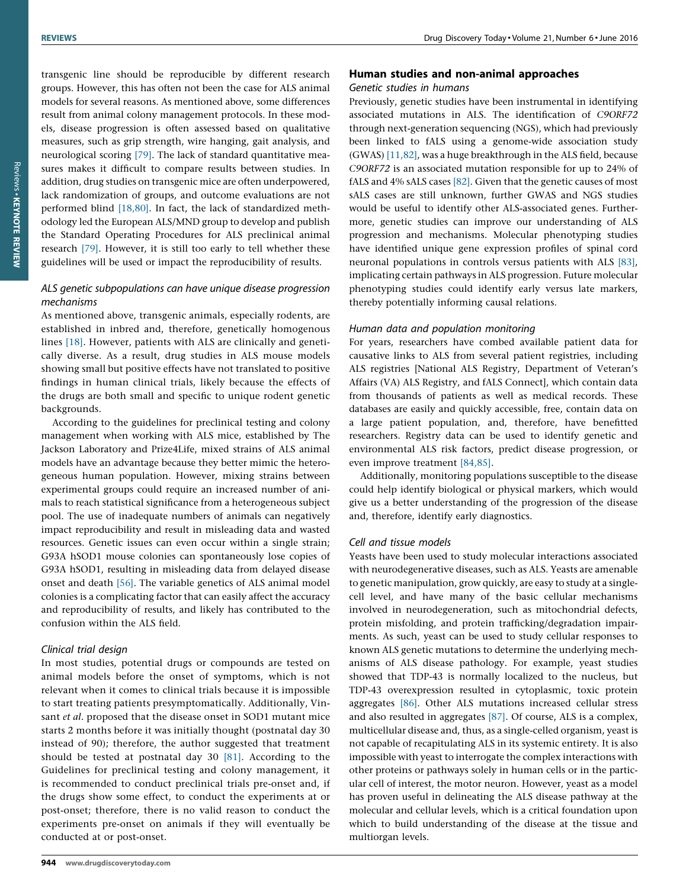transgenic line should be reproducible by different research groups. However, this has often not been the case for ALS animal models for several reasons. As mentioned above, some differences result from animal colony management protocols. In these models, disease progression is often assessed based on qualitative measures, such as grip strength, wire hanging, gait analysis, and neurological scoring [\[79\].](#page-9-0) The lack of standard quantitative measures makes it difficult to compare results between studies. In addition, drug studies on transgenic mice are often underpowered, lack randomization of groups, and outcome evaluations are not performed blind [\[18,80\]](#page-8-0). In fact, the lack of standardized methodology led the European ALS/MND group to develop and publish the Standard Operating Procedures for ALS preclinical animal research [\[79\]](#page-9-0). However, it is still too early to tell whether these guidelines will be used or impact the reproducibility of results.

## ALS genetic subpopulations can have unique disease progression mechanisms

As mentioned above, transgenic animals, especially rodents, are established in inbred and, therefore, genetically homogenous lines [\[18\]](#page-8-0). However, patients with ALS are clinically and genetically diverse. As a result, drug studies in ALS mouse models showing small but positive effects have not translated to positive findings in human clinical trials, likely because the effects of the drugs are both small and specific to unique rodent genetic backgrounds.

According to the guidelines for preclinical testing and colony management when working with ALS mice, established by The Jackson Laboratory and Prize4Life, mixed strains of ALS animal models have an advantage because they better mimic the heterogeneous human population. However, mixing strains between experimental groups could require an increased number of animals to reach statistical significance from a heterogeneous subject pool. The use of inadequate numbers of animals can negatively impact reproducibility and result in misleading data and wasted resources. Genetic issues can even occur within a single strain; G93A hSOD1 mouse colonies can spontaneously lose copies of G93A hSOD1, resulting in misleading data from delayed disease onset and death [\[56\]](#page-9-0). The variable genetics of ALS animal model colonies is a complicating factor that can easily affect the accuracy and reproducibility of results, and likely has contributed to the confusion within the ALS field.

#### Clinical trial design

In most studies, potential drugs or compounds are tested on animal models before the onset of symptoms, which is not relevant when it comes to clinical trials because it is impossible to start treating patients presymptomatically. Additionally, Vinsant et al. proposed that the disease onset in SOD1 mutant mice starts 2 months before it was initially thought (postnatal day 30 instead of 90); therefore, the author suggested that treatment should be tested at postnatal day 30 [\[81\].](#page-9-0) According to the Guidelines for preclinical testing and colony management, it is recommended to conduct preclinical trials pre-onset and, if the drugs show some effect, to conduct the experiments at or post-onset; therefore, there is no valid reason to conduct the experiments pre-onset on animals if they will eventually be conducted at or post-onset.

## Human studies and non-animal approaches

## Genetic studies in humans

Previously, genetic studies have been instrumental in identifying associated mutations in ALS. The identification of C9ORF72 through next-generation sequencing (NGS), which had previously been linked to fALS using a genome-wide association study (GWAS) [\[11,82\],](#page-8-0) was a huge breakthrough in the ALS field, because C9ORF72 is an associated mutation responsible for up to 24% of fALS and 4% sALS cases [\[82\].](#page-9-0) Given that the genetic causes of most sALS cases are still unknown, further GWAS and NGS studies would be useful to identify other ALS-associated genes. Furthermore, genetic studies can improve our understanding of ALS progression and mechanisms. Molecular phenotyping studies have identified unique gene expression profiles of spinal cord neuronal populations in controls versus patients with ALS [\[83\]](#page-9-0), implicating certain pathways in ALS progression. Future molecular phenotyping studies could identify early versus late markers, thereby potentially informing causal relations.

#### Human data and population monitoring

For years, researchers have combed available patient data for causative links to ALS from several patient registries, including ALS registries [National ALS Registry, Department of Veteran's Affairs (VA) ALS Registry, and fALS Connect], which contain data from thousands of patients as well as medical records. These databases are easily and quickly accessible, free, contain data on a large patient population, and, therefore, have benefitted researchers. Registry data can be used to identify genetic and environmental ALS risk factors, predict disease progression, or even improve treatment [\[84,85\].](#page-9-0)

Additionally, monitoring populations susceptible to the disease could help identify biological or physical markers, which would give us a better understanding of the progression of the disease and, therefore, identify early diagnostics.

#### Cell and tissue models

Yeasts have been used to study molecular interactions associated with neurodegenerative diseases, such as ALS. Yeasts are amenable to genetic manipulation, grow quickly, are easy to study at a singlecell level, and have many of the basic cellular mechanisms involved in neurodegeneration, such as mitochondrial defects, protein misfolding, and protein trafficking/degradation impairments. As such, yeast can be used to study cellular responses to known ALS genetic mutations to determine the underlying mechanisms of ALS disease pathology. For example, yeast studies showed that TDP-43 is normally localized to the nucleus, but TDP-43 overexpression resulted in cytoplasmic, toxic protein aggregates [\[86\].](#page-9-0) Other ALS mutations increased cellular stress and also resulted in aggregates [\[87\].](#page-9-0) Of course, ALS is a complex, multicellular disease and, thus, as a single-celled organism, yeast is not capable of recapitulating ALS in its systemic entirety. It is also impossible with yeast to interrogate the complex interactions with other proteins or pathways solely in human cells or in the particular cell of interest, the motor neuron. However, yeast as a model has proven useful in delineating the ALS disease pathway at the molecular and cellular levels, which is a critical foundation upon which to build understanding of the disease at the tissue and multiorgan levels.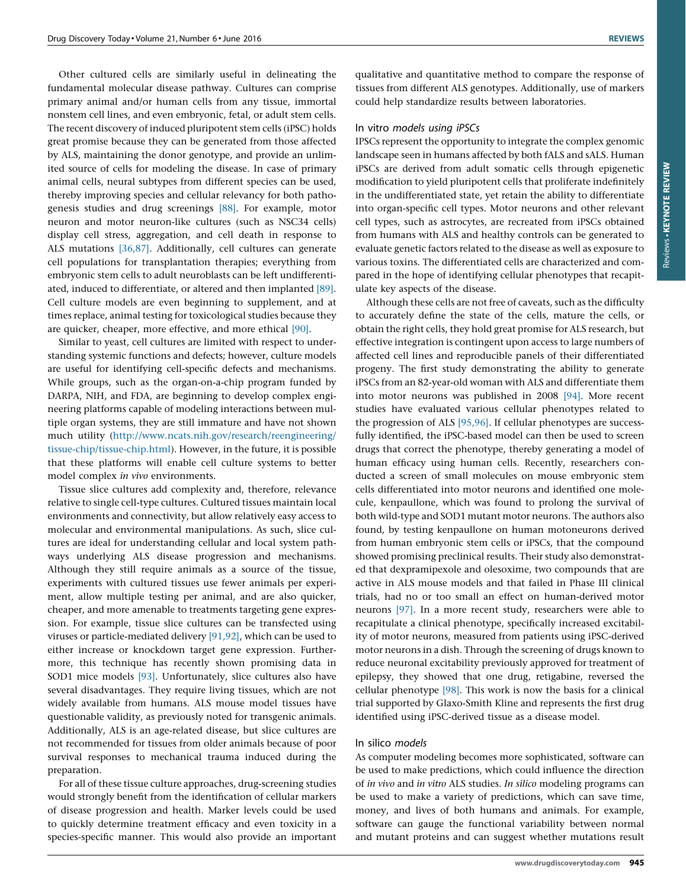Other cultured cells are similarly useful in delineating the fundamental molecular disease pathway. Cultures can comprise primary animal and/or human cells from any tissue, immortal nonstem cell lines, and even embryonic, fetal, or adult stem cells. The recent discovery of induced pluripotent stem cells (iPSC) holds great promise because they can be generated from those affected by ALS, maintaining the donor genotype, and provide an unlimited source of cells for modeling the disease. In case of primary animal cells, neural subtypes from different species can be used, thereby improving species and cellular relevancy for both pathogenesis studies and drug screenings [\[88\].](#page-9-0) For example, motor neuron and motor neuron-like cultures (such as NSC34 cells) display cell stress, aggregation, and cell death in response to ALS mutations [\[36,87\].](#page-9-0) Additionally, cell cultures can generate cell populations for transplantation therapies; everything from embryonic stem cells to adult neuroblasts can be left undifferentiated, induced to differentiate, or altered and then implanted [\[89\].](#page-9-0) Cell culture models are even beginning to supplement, and at times replace, animal testing for toxicological studies because they are quicker, cheaper, more effective, and more ethical [\[90\].](#page-9-0)

Similar to yeast, cell cultures are limited with respect to understanding systemic functions and defects; however, culture models are useful for identifying cell-specific defects and mechanisms. While groups, such as the organ-on-a-chip program funded by DARPA, NIH, and FDA, are beginning to develop complex engineering platforms capable of modeling interactions between multiple organ systems, they are still immature and have not shown much utility ([http://www.ncats.nih.gov/research/reengineering/](http://www.ncats.nih.gov/research/reengineering/tissue-chip/tissue-chip.html) [tissue-chip/tissue-chip.html\)](http://www.ncats.nih.gov/research/reengineering/tissue-chip/tissue-chip.html). However, in the future, it is possible that these platforms will enable cell culture systems to better model complex in vivo environments.

Tissue slice cultures add complexity and, therefore, relevance relative to single cell-type cultures. Cultured tissues maintain local environments and connectivity, but allow relatively easy access to molecular and environmental manipulations. As such, slice cultures are ideal for understanding cellular and local system pathways underlying ALS disease progression and mechanisms. Although they still require animals as a source of the tissue, experiments with cultured tissues use fewer animals per experiment, allow multiple testing per animal, and are also quicker, cheaper, and more amenable to treatments targeting gene expression. For example, tissue slice cultures can be transfected using viruses or particle-mediated delivery [\[91,92\]](#page-9-0), which can be used to either increase or knockdown target gene expression. Furthermore, this technique has recently shown promising data in SOD1 mice models [\[93\].](#page-9-0) Unfortunately, slice cultures also have several disadvantages. They require living tissues, which are not widely available from humans. ALS mouse model tissues have questionable validity, as previously noted for transgenic animals. Additionally, ALS is an age-related disease, but slice cultures are not recommended for tissues from older animals because of poor survival responses to mechanical trauma induced during the preparation.

For all of these tissue culture approaches, drug-screening studies would strongly benefit from the identification of cellular markers of disease progression and health. Marker levels could be used to quickly determine treatment efficacy and even toxicity in a species-specific manner. This would also provide an important

qualitative and quantitative method to compare the response of tissues from different ALS genotypes. Additionally, use of markers could help standardize results between laboratories.

### In vitro models using iPSCs

IPSCs represent the opportunity to integrate the complex genomic landscape seen in humans affected by both fALS and sALS. Human iPSCs are derived from adult somatic cells through epigenetic modification to yield pluripotent cells that proliferate indefinitely in the undifferentiated state, yet retain the ability to differentiate into organ-specific cell types. Motor neurons and other relevant cell types, such as astrocytes, are recreated from iPSCs obtained from humans with ALS and healthy controls can be generated to evaluate genetic factors related to the disease as well as exposure to various toxins. The differentiated cells are characterized and compared in the hope of identifying cellular phenotypes that recapitulate key aspects of the disease.

Although these cells are not free of caveats, such as the difficulty to accurately define the state of the cells, mature the cells, or obtain the right cells, they hold great promise for ALS research, but effective integration is contingent upon access to large numbers of affected cell lines and reproducible panels of their differentiated progeny. The first study demonstrating the ability to generate iPSCs from an 82-year-old woman with ALS and differentiate them into motor neurons was published in 2008 [\[94\].](#page-9-0) More recent studies have evaluated various cellular phenotypes related to the progression of ALS [\[95,96\].](#page-10-0) If cellular phenotypes are successfully identified, the iPSC-based model can then be used to screen drugs that correct the phenotype, thereby generating a model of human efficacy using human cells. Recently, researchers conducted a screen of small molecules on mouse embryonic stem cells differentiated into motor neurons and identified one molecule, kenpaullone, which was found to prolong the survival of both wild-type and SOD1 mutant motor neurons. The authors also found, by testing kenpaullone on human motoneurons derived from human embryonic stem cells or iPSCs, that the compound showed promising preclinical results. Their study also demonstrated that dexpramipexole and olesoxime, two compounds that are active in ALS mouse models and that failed in Phase III clinical trials, had no or too small an effect on human-derived motor neurons [\[97\]](#page-10-0). In a more recent study, researchers were able to recapitulate a clinical phenotype, specifically increased excitability of motor neurons, measured from patients using iPSC-derived motor neurons in a dish. Through the screening of drugs known to reduce neuronal excitability previously approved for treatment of epilepsy, they showed that one drug, retigabine, reversed the cellular phenotype [\[98\].](#page-10-0) This work is now the basis for a clinical trial supported by Glaxo-Smith Kline and represents the first drug identified using iPSC-derived tissue as a disease model.

#### In silico models

As computer modeling becomes more sophisticated, software can be used to make predictions, which could influence the direction of in vivo and in vitro ALS studies. In silico modeling programs can be used to make a variety of predictions, which can save time, money, and lives of both humans and animals. For example, software can gauge the functional variability between normal and mutant proteins and can suggest whether mutations result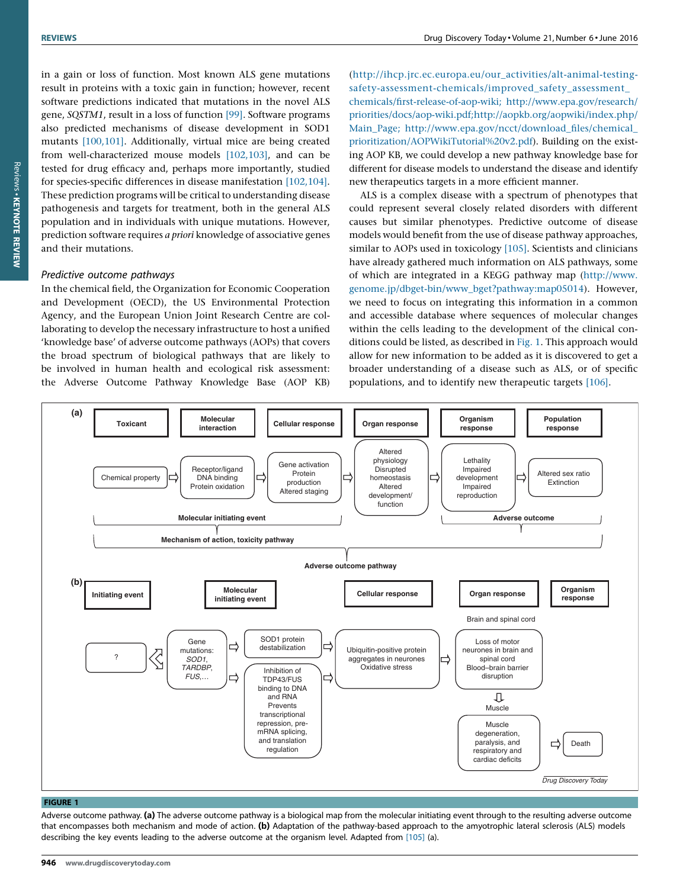in a gain or loss of function. Most known ALS gene mutations result in proteins with a toxic gain in function; however, recent software predictions indicated that mutations in the novel ALS gene, SQSTM1, result in a loss of function [\[99\].](#page-10-0) Software programs also predicted mechanisms of disease development in SOD1 mutants [\[100,101\].](#page-10-0) Additionally, virtual mice are being created from well-characterized mouse models [\[102,103\]](#page-10-0), and can be tested for drug efficacy and, perhaps more importantly, studied for species-specific differences in disease manifestation [\[102,104\]](#page-10-0). These prediction programs will be critical to understanding disease pathogenesis and targets for treatment, both in the general ALS population and in individuals with unique mutations. However, prediction software requires a priori knowledge of associative genes and their mutations.

## Predictive outcome pathways

In the chemical field, the Organization for Economic Cooperation and Development (OECD), the US Environmental Protection Agency, and the European Union Joint Research Centre are collaborating to develop the necessary infrastructure to host a unified 'knowledge base' of adverse outcome pathways (AOPs) that covers the broad spectrum of biological pathways that are likely to be involved in human health and ecological risk assessment: the Adverse Outcome Pathway Knowledge Base (AOP KB)

([http://ihcp.jrc.ec.europa.eu/our\\_activities/alt-animal-testing](http://ihcp.jrc.ec.europa.eu/our_activities/alt-animal-testing-safety-assessment-chemicals/improved_safety_assessment_chemicals/first-release-of-aop-wiki;)[safety-assessment-chemicals/improved\\_safety\\_assessment\\_](http://ihcp.jrc.ec.europa.eu/our_activities/alt-animal-testing-safety-assessment-chemicals/improved_safety_assessment_chemicals/first-release-of-aop-wiki;) [chemicals/first-release-of-aop-wiki;](http://ihcp.jrc.ec.europa.eu/our_activities/alt-animal-testing-safety-assessment-chemicals/improved_safety_assessment_chemicals/first-release-of-aop-wiki;) [http://www.epa.gov/research/](http://www.epa.gov/research/priorities/docs/aop-wiki.pdf;http://aopkb.org/aopwiki/index.php/Main_Page;) [priorities/docs/aop-wiki.pdf;http://aopkb.org/aopwiki/index.php/](http://www.epa.gov/research/priorities/docs/aop-wiki.pdf;http://aopkb.org/aopwiki/index.php/Main_Page;) [Main\\_Page;](http://www.epa.gov/research/priorities/docs/aop-wiki.pdf;http://aopkb.org/aopwiki/index.php/Main_Page;) [http://www.epa.gov/ncct/download\\_files/chemical\\_](http://www.epa.gov/ncct/download_files/chemical_prioritization/AOPWikiTutorial%20v2.pdf) [prioritization/AOPWikiTutorial%20v2.pdf\)](http://www.epa.gov/ncct/download_files/chemical_prioritization/AOPWikiTutorial%20v2.pdf). Building on the existing AOP KB, we could develop a new pathway knowledge base for different for disease models to understand the disease and identify new therapeutics targets in a more efficient manner.

ALS is a complex disease with a spectrum of phenotypes that could represent several closely related disorders with different causes but similar phenotypes. Predictive outcome of disease models would benefit from the use of disease pathway approaches, similar to AOPs used in toxicology [\[105\].](#page-10-0) Scientists and clinicians have already gathered much information on ALS pathways, some of which are integrated in a KEGG pathway map [\(http://www.](http://www.genome.jp/dbget-bin/www_bget?pathway:map05014) [genome.jp/dbget-bin/www\\_bget?pathway:map05014\)](http://www.genome.jp/dbget-bin/www_bget?pathway:map05014). However, we need to focus on integrating this information in a common and accessible database where sequences of molecular changes within the cells leading to the development of the clinical conditions could be listed, as described in Fig. 1. This approach would allow for new information to be added as it is discovered to get a broader understanding of a disease such as ALS, or of specific populations, and to identify new therapeutic targets [\[106\].](#page-10-0)



#### FIGURE 1

Adverse outcome pathway. (a) The adverse outcome pathway is a biological map from the molecular initiating event through to the resulting adverse outcome that encompasses both mechanism and mode of action. (b) Adaptation of the pathway-based approach to the amyotrophic lateral sclerosis (ALS) models describing the key events leading to the adverse outcome at the organism level. Adapted from [\[105\]](#page-10-0) (a).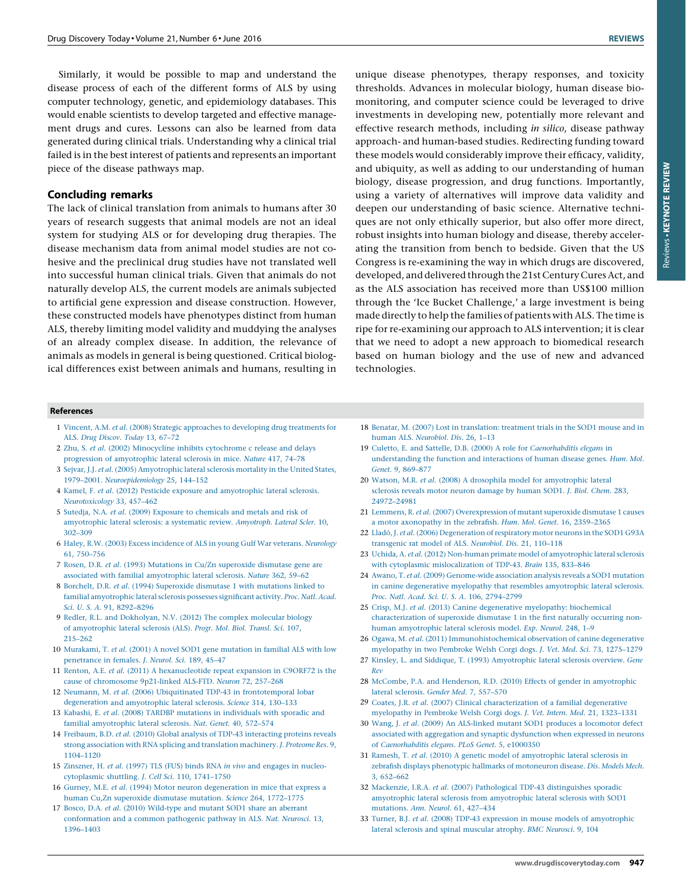Reviews -

 KEYNOTE REVIEWReviews - KEYNOTE REVIEW

<span id="page-8-0"></span>Similarly, it would be possible to map and understand the disease process of each of the different forms of ALS by using computer technology, genetic, and epidemiology databases. This would enable scientists to develop targeted and effective management drugs and cures. Lessons can also be learned from data generated during clinical trials. Understanding why a clinical trial failed is in the best interest of patients and represents an important piece of the disease pathways map.

## Concluding remarks

The lack of clinical translation from animals to humans after 30 years of research suggests that animal models are not an ideal system for studying ALS or for developing drug therapies. The disease mechanism data from animal model studies are not cohesive and the preclinical drug studies have not translated well into successful human clinical trials. Given that animals do not naturally develop ALS, the current models are animals subjected to artificial gene expression and disease construction. However, these constructed models have phenotypes distinct from human ALS, thereby limiting model validity and muddying the analyses of an already complex disease. In addition, the relevance of animals as models in general is being questioned. Critical biological differences exist between animals and humans, resulting in unique disease phenotypes, therapy responses, and toxicity thresholds. Advances in molecular biology, human disease biomonitoring, and computer science could be leveraged to drive investments in developing new, potentially more relevant and effective research methods, including in silico, disease pathway approach- and human-based studies. Redirecting funding toward these models would considerably improve their efficacy, validity, and ubiquity, as well as adding to our understanding of human biology, disease progression, and drug functions. Importantly, using a variety of alternatives will improve data validity and deepen our understanding of basic science. Alternative techniques are not only ethically superior, but also offer more direct, robust insights into human biology and disease, thereby accelerating the transition from bench to bedside. Given that the US Congress is re-examining the way in which drugs are discovered, developed, and delivered through the 21st Century Cures Act, and as the ALS association has received more than US\$100 million through the 'Ice Bucket Challenge,' a large investment is being made directly to help the families of patients with ALS. The time is ripe for re-examining our approach to ALS intervention; it is clear that we need to adopt a new approach to biomedical research based on human biology and the use of new and advanced technologies.

#### References

- 1 Vincent, A.M. et al. (2008) Strategic [approaches](http://refhub.elsevier.com/S1359-6446(16)30027-7/sbref0540) to developing drug treatments for ALS. Drug [Discov.](http://refhub.elsevier.com/S1359-6446(16)30027-7/sbref0540) Today 13, 67–72
- 2 Zhu, S. et al. (2002) [Minocycline](http://refhub.elsevier.com/S1359-6446(16)30027-7/sbref0545) inhibits cytochrome c release and delays progression of [amyotrophic](http://refhub.elsevier.com/S1359-6446(16)30027-7/sbref0545) lateral sclerosis in mice. Nature 417, 74–78
- 3 Sejvar, J.J. et al. (2005) [Amyotrophic](http://refhub.elsevier.com/S1359-6446(16)30027-7/sbref0550) lateral sclerosis mortality in the United States, 1979–2001. [Neuroepidemiology](http://refhub.elsevier.com/S1359-6446(16)30027-7/sbref0550) 25, 144–152
- 4 Kamel, F. et al. (2012) Pesticide exposure and [amyotrophic](http://refhub.elsevier.com/S1359-6446(16)30027-7/sbref0555) lateral sclerosis. [Neurotoxicology](http://refhub.elsevier.com/S1359-6446(16)30027-7/sbref0555) 33, 457–462
- 5 Sutedja, N.A. et al. (2009) Exposure to [chemicals](http://refhub.elsevier.com/S1359-6446(16)30027-7/sbref0560) and metals and risk of [amyotrophic](http://refhub.elsevier.com/S1359-6446(16)30027-7/sbref0560) lateral sclerosis: a systematic review. Amyotroph. Lateral Scler. 10, [302–309](http://refhub.elsevier.com/S1359-6446(16)30027-7/sbref0560)
- 6 Haley, R.W. (2003) Excess [incidence](http://refhub.elsevier.com/S1359-6446(16)30027-7/sbref0565) of ALS in young Gulf War veterans. Neurology 61, [750–756](http://refhub.elsevier.com/S1359-6446(16)30027-7/sbref0565)
- 7 Rosen, D.R. et al. (1993) Mutations in Cu/Zn [superoxide](http://refhub.elsevier.com/S1359-6446(16)30027-7/sbref0570) dismutase gene are associated with familial [amyotrophic](http://refhub.elsevier.com/S1359-6446(16)30027-7/sbref0570) lateral sclerosis. Nature 362, 59–62
- 8 Borchelt, D.R. et al. (1994) [Superoxide](http://refhub.elsevier.com/S1359-6446(16)30027-7/sbref0575) dismutase 1 with mutations linked to familial [amyotrophic](http://refhub.elsevier.com/S1359-6446(16)30027-7/sbref0575) lateral sclerosis possesses significant activity. Proc. Natl. Acad. Sci. U. S. A. 91, [8292–8296](http://refhub.elsevier.com/S1359-6446(16)30027-7/sbref0575)
- 9 Redler, R.L. and [Dokholyan,](http://refhub.elsevier.com/S1359-6446(16)30027-7/sbref0580) N.V. (2012) The complex molecular biology of [amyotrophic](http://refhub.elsevier.com/S1359-6446(16)30027-7/sbref0580) lateral sclerosis (ALS). Progr. Mol. Biol. Transl. Sci. 107, [215–262](http://refhub.elsevier.com/S1359-6446(16)30027-7/sbref0580)
- 10 [Murakami,](http://refhub.elsevier.com/S1359-6446(16)30027-7/sbref0585) T. et al. (2001) A novel SOD1 gene mutation in familial ALS with low [penetrance](http://refhub.elsevier.com/S1359-6446(16)30027-7/sbref0585) in females. J. Neurol. Sci. 189, 45–47
- 11 Renton, A.E. et al. (2011) A [hexanucleotide](http://refhub.elsevier.com/S1359-6446(16)30027-7/sbref0590) repeat expansion in C9ORF72 is the cause of [chromosome](http://refhub.elsevier.com/S1359-6446(16)30027-7/sbref0590) 9p21-linked ALS-FTD. Neuron 72, 257–268
- 12 Neumann, M. et al. (2006) Ubiquitinated TDP-43 in [frontotemporal](http://refhub.elsevier.com/S1359-6446(16)30027-7/sbref0595) lobar [degeneration](http://refhub.elsevier.com/S1359-6446(16)30027-7/sbref0595) and amyotrophic lateral sclerosis. Science 314, 130–133
- 13 Kabashi, E. et al. (2008) TARDBP mutations in [individuals](http://refhub.elsevier.com/S1359-6446(16)30027-7/sbref0600) with sporadic and familial [amyotrophic](http://refhub.elsevier.com/S1359-6446(16)30027-7/sbref0600) lateral sclerosis. Nat. Genet. 40, 572–574
- 14 Freibaum, B.D. et al. (2010) Global analysis of TDP-43 [interacting](http://refhub.elsevier.com/S1359-6446(16)30027-7/sbref0605) proteins reveals strong association with RNA splicing and translation [machinery.](http://refhub.elsevier.com/S1359-6446(16)30027-7/sbref0605) J. Proteome Res. 9, [1104–1120](http://refhub.elsevier.com/S1359-6446(16)30027-7/sbref0605)
- 15 [Zinszner,](http://refhub.elsevier.com/S1359-6446(16)30027-7/sbref0610) H. et al. (1997) TLS (FUS) binds RNA in vivo and engages in nucleo[cytoplasmic](http://refhub.elsevier.com/S1359-6446(16)30027-7/sbref0610) shuttling. J. Cell Sci. 110, 1741–1750
- 16 Gurney, M.E. et al. (1994) Motor neuron [degeneration](http://refhub.elsevier.com/S1359-6446(16)30027-7/sbref0615) in mice that express a human Cu,Zn [superoxide](http://refhub.elsevier.com/S1359-6446(16)30027-7/sbref0615) dismutase mutation. Science 264, 1772–1775
- 17 Bosco, D.A. et al. (2010) [Wild-type](http://refhub.elsevier.com/S1359-6446(16)30027-7/sbref0620) and mutant SOD1 share an aberrant [conformation](http://refhub.elsevier.com/S1359-6446(16)30027-7/sbref0620) and a common pathogenic pathway in ALS. Nat. Neurosci. 13, [1396–1403](http://refhub.elsevier.com/S1359-6446(16)30027-7/sbref0620)
- 18 Benatar, M. (2007) Lost in [translation:](http://refhub.elsevier.com/S1359-6446(16)30027-7/sbref0625) treatment trials in the SOD1 mouse and in human ALS. [Neurobiol.](http://refhub.elsevier.com/S1359-6446(16)30027-7/sbref0625) Dis. 26, 1–13
- 19 Culetto, E. and Sattelle, D.B. (2000) A role for [Caenorhabditis](http://refhub.elsevier.com/S1359-6446(16)30027-7/sbref0630) elegans in [understanding](http://refhub.elsevier.com/S1359-6446(16)30027-7/sbref0630) the function and interactions of human disease genes. Hum. Mol. Genet. 9, [869–877](http://refhub.elsevier.com/S1359-6446(16)30027-7/sbref0630)
- 20 Watson, M.R. et al. (2008) A drosophila model for [amyotrophic](http://refhub.elsevier.com/S1359-6446(16)30027-7/sbref0635) lateral [sclerosis](http://refhub.elsevier.com/S1359-6446(16)30027-7/sbref0635) reveals motor neuron damage by human SOD1. J. Biol. Chem. 283, [24972–24981](http://refhub.elsevier.com/S1359-6446(16)30027-7/sbref0635)
- 21 Lemmens, R. et al. (2007) [Overexpression](http://refhub.elsevier.com/S1359-6446(16)30027-7/sbref0640) of mutant superoxide dismutase 1 causes a motor [axonopathy](http://refhub.elsevier.com/S1359-6446(16)30027-7/sbref0640) in the zebrafish. Hum. Mol. Genet. 16, 2359–2365
- 22 Lladó, J. et al. (2006) [Degeneration](http://refhub.elsevier.com/S1359-6446(16)30027-7/sbref0645) of respiratory motor neurons in the SOD1 G93A [transgenic](http://refhub.elsevier.com/S1359-6446(16)30027-7/sbref0645) rat model of ALS. Neurobiol. Dis. 21, 110–118
- 23 Uchida, A. et al. (2012) Non-human primate model of [amyotrophic](http://refhub.elsevier.com/S1359-6446(16)30027-7/sbref0650) lateral sclerosis with cytoplasmic [mislocalization](http://refhub.elsevier.com/S1359-6446(16)30027-7/sbref0650) of TDP-43. Brain 135, 833–846
- 24 Awano, T. et al. (2009) [Genome-wide](http://refhub.elsevier.com/S1359-6446(16)30027-7/sbref0655) association analysis reveals a SOD1 mutation in canine degenerative myelopathy that resembles [amyotrophic](http://refhub.elsevier.com/S1359-6446(16)30027-7/sbref0655) lateral sclerosis. Proc. Natl. Acad. Sci. U. S. A. 106, [2794–2799](http://refhub.elsevier.com/S1359-6446(16)30027-7/sbref0655)
- 25 Crisp, M.J. et al. (2013) Canine [degenerative](http://refhub.elsevier.com/S1359-6446(16)30027-7/sbref0660) myelopathy: biochemical [characterization](http://refhub.elsevier.com/S1359-6446(16)30027-7/sbref0660) of superoxide dismutase 1 in the first naturally occurring nonhuman [amyotrophic](http://refhub.elsevier.com/S1359-6446(16)30027-7/sbref0660) lateral sclerosis model. Exp. Neurol. 248, 1–9
- 26 Ogawa, M. et al. (2011) [Immunohistochemical](http://refhub.elsevier.com/S1359-6446(16)30027-7/sbref0665) observation of canine degenerative [myelopathy](http://refhub.elsevier.com/S1359-6446(16)30027-7/sbref0665) in two Pembroke Welsh Corgi dogs. J. Vet. Med. Sci. 73, 1275–1279
- 27 Kinsley, L. and Siddique, T. (1993) [Amyotrophic](http://refhub.elsevier.com/S1359-6446(16)30027-7/sbref0670) lateral sclerosis overview. Gene [Rev](http://refhub.elsevier.com/S1359-6446(16)30027-7/sbref0670)
- 28 McCombe, P.A. and Henderson, R.D. (2010) Effects of gender in [amyotrophic](http://refhub.elsevier.com/S1359-6446(16)30027-7/sbref0675) lateral [sclerosis.](http://refhub.elsevier.com/S1359-6446(16)30027-7/sbref0675) Gender Med. 7, 557–570
- 29 Coates, J.R. et al. (2007) Clinical [characterization](http://refhub.elsevier.com/S1359-6446(16)30027-7/sbref0680) of a familial degenerative [myelopathy](http://refhub.elsevier.com/S1359-6446(16)30027-7/sbref0680) in Pembroke Welsh Corgi dogs. J. Vet. Intern. Med. 21, 1323–1331
- 30 Wang, J. et al. (2009) An [ALS-linked](http://refhub.elsevier.com/S1359-6446(16)30027-7/sbref0685) mutant SOD1 produces a locomotor defect associated with aggregation and synaptic [dysfunction](http://refhub.elsevier.com/S1359-6446(16)30027-7/sbref0685) when expressed in neurons of [Caenorhabditis](http://refhub.elsevier.com/S1359-6446(16)30027-7/sbref0685) elegans. PLoS Genet. 5, e1000350
- 31 Ramesh, T. et al. (2010) A genetic model of [amyotrophic](http://refhub.elsevier.com/S1359-6446(16)30027-7/sbref0690) lateral sclerosis in zebrafish displays phenotypic hallmarks of [motoneuron](http://refhub.elsevier.com/S1359-6446(16)30027-7/sbref0690) disease. Dis. Models Mech. 3, [652–662](http://refhub.elsevier.com/S1359-6446(16)30027-7/sbref0690)
- 32 Mackenzie, I.R.A. et al. (2007) Pathological TDP-43 [distinguishes](http://refhub.elsevier.com/S1359-6446(16)30027-7/sbref0695) sporadic amyotrophic lateral sclerosis from [amyotrophic](http://refhub.elsevier.com/S1359-6446(16)30027-7/sbref0695) lateral sclerosis with SOD1 [mutations.](http://refhub.elsevier.com/S1359-6446(16)30027-7/sbref0695) Ann. Neurol. 61, 427–434
- 33 Turner, B.J. et al. (2008) TDP-43 expression in mouse models of [amyotrophic](http://refhub.elsevier.com/S1359-6446(16)30027-7/sbref0700) lateral sclerosis and spinal [muscular](http://refhub.elsevier.com/S1359-6446(16)30027-7/sbref0700) atrophy. BMC Neurosci. 9, 104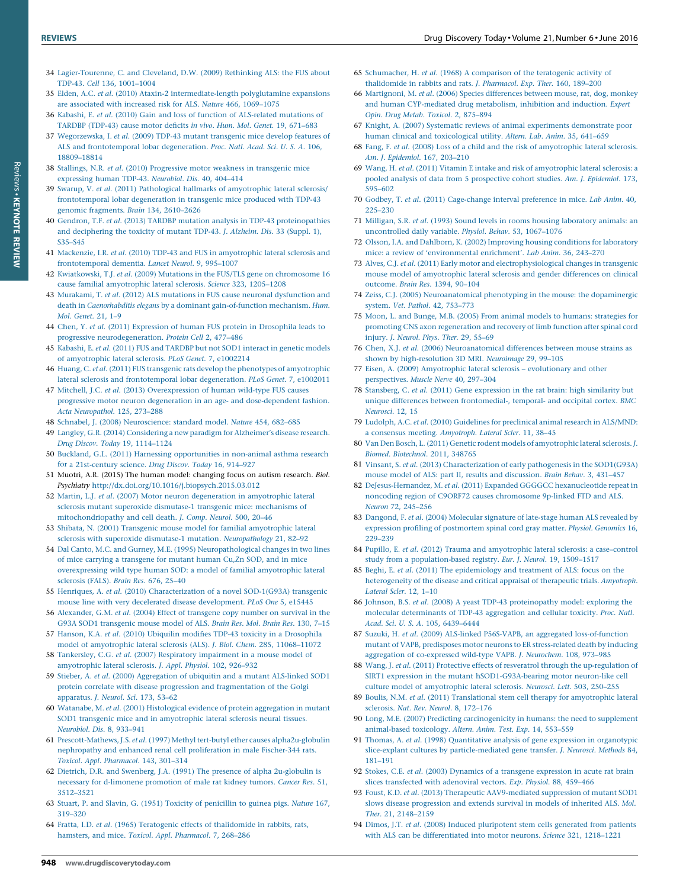- <span id="page-9-0"></span>34 [Lagier-Tourenne,](http://refhub.elsevier.com/S1359-6446(16)30027-7/sbref0705) C. and Cleveland, D.W. (2009) Rethinking ALS: the FUS about TDP-43. Cell 136, [1001–1004](http://refhub.elsevier.com/S1359-6446(16)30027-7/sbref0705)
- 35 Elden, A.C. et al. (2010) Ataxin-2 [intermediate-length](http://refhub.elsevier.com/S1359-6446(16)30027-7/sbref0710) polyglutamine expansions are associated with increased risk for ALS. Nature 466, [1069–1075](http://refhub.elsevier.com/S1359-6446(16)30027-7/sbref0710)
- 36 Kabashi, E. et al. (2010) Gain and loss of function of [ALS-related](http://refhub.elsevier.com/S1359-6446(16)30027-7/sbref0715) mutations of TARDBP [\(TDP-43\)](http://refhub.elsevier.com/S1359-6446(16)30027-7/sbref0715) cause motor deficits in vivo. Hum. Mol. Genet. 19, 671–683
- 37 [Wegorzewska,](http://refhub.elsevier.com/S1359-6446(16)30027-7/sbref0720) I. et al. (2009) TDP-43 mutant transgenic mice develop features of ALS and [frontotemporal](http://refhub.elsevier.com/S1359-6446(16)30027-7/sbref0720) lobar degeneration. Proc. Natl. Acad. Sci. U. S. A. 106, [18809–18814](http://refhub.elsevier.com/S1359-6446(16)30027-7/sbref0720)
- 38 Stallings, N.R. et al. (2010) [Progressive](http://refhub.elsevier.com/S1359-6446(16)30027-7/sbref0725) motor weakness in transgenic mice [expressing](http://refhub.elsevier.com/S1359-6446(16)30027-7/sbref0725) human TDP-43. Neurobiol. Dis. 40, 404–414
- 39 Swarup, V. et al. (2011) Pathological hallmarks of [amyotrophic](http://refhub.elsevier.com/S1359-6446(16)30027-7/sbref0730) lateral sclerosis/ [frontotemporal](http://refhub.elsevier.com/S1359-6446(16)30027-7/sbref0730) lobar degeneration in transgenic mice produced with TDP-43 genomic fragments. Brain 134, [2610–2626](http://refhub.elsevier.com/S1359-6446(16)30027-7/sbref0730)
- 40 Gendron, T.F. et al. (2013) TARDBP mutation analysis in TDP-43 [proteinopathies](http://refhub.elsevier.com/S1359-6446(16)30027-7/sbref0735) and [deciphering](http://refhub.elsevier.com/S1359-6446(16)30027-7/sbref0735) the toxicity of mutant TDP-43. J. Alzheim. Dis. 33 (Suppl. 1), [S35–S45](http://refhub.elsevier.com/S1359-6446(16)30027-7/sbref0735)
- 41 Mackenzie, I.R. et al. (2010) TDP-43 and FUS in [amyotrophic](http://refhub.elsevier.com/S1359-6446(16)30027-7/sbref0740) lateral sclerosis and [frontotemporal](http://refhub.elsevier.com/S1359-6446(16)30027-7/sbref0740) dementia. Lancet Neurol. 9, 995–1007
- 42 [Kwiatkowski,](http://refhub.elsevier.com/S1359-6446(16)30027-7/sbref0745) T.J. et al. (2009) Mutations in the FUS/TLS gene on chromosome 16 cause familial [amyotrophic](http://refhub.elsevier.com/S1359-6446(16)30027-7/sbref0745) lateral sclerosis. Science 323, 1205–1208
- 43 Murakami, T. et al. (2012) ALS mutations in FUS cause neuronal [dysfunction](http://refhub.elsevier.com/S1359-6446(16)30027-7/sbref0750) and death in Caenorhabditis elegans by a dominant [gain-of-function](http://refhub.elsevier.com/S1359-6446(16)30027-7/sbref0750) mechanism. Hum. Mol. [Genet.](http://refhub.elsevier.com/S1359-6446(16)30027-7/sbref0750) 21, 1–9
- 44 Chen, Y. et al. (2011) Expression of human FUS protein in [Drosophila](http://refhub.elsevier.com/S1359-6446(16)30027-7/sbref0755) leads to progressive [neurodegeneration.](http://refhub.elsevier.com/S1359-6446(16)30027-7/sbref0755) Protein Cell 2, 477–486
- 45 [Kabashi,](http://refhub.elsevier.com/S1359-6446(16)30027-7/sbref0760) E. et al. (2011) FUS and TARDBP but not SOD1 interact in genetic models of [amyotrophic](http://refhub.elsevier.com/S1359-6446(16)30027-7/sbref0760) lateral sclerosis. PLoS Genet. 7, e1002214
- 46 Huang, C. et al. (2011) FUS transgenic rats develop the phenotypes of [amyotrophic](http://refhub.elsevier.com/S1359-6446(16)30027-7/sbref0765) lateral sclerosis and [frontotemporal](http://refhub.elsevier.com/S1359-6446(16)30027-7/sbref0765) lobar degeneration. PLoS Genet. 7, e1002011
- 47 Mitchell, J.C. et al. (2013) [Overexpression](http://refhub.elsevier.com/S1359-6446(16)30027-7/sbref0770) of human wild-type FUS causes progressive motor neuron degeneration in an age- and [dose-dependent](http://refhub.elsevier.com/S1359-6446(16)30027-7/sbref0770) fashion. Acta [Neuropathol.](http://refhub.elsevier.com/S1359-6446(16)30027-7/sbref0770) 125, 273–288
- 48 Schnabel, J. (2008) [Neuroscience:](http://refhub.elsevier.com/S1359-6446(16)30027-7/sbref0775) standard model. Nature 454, 682–685
- 49 Langley, G.R. (2014) [Considering](http://refhub.elsevier.com/S1359-6446(16)30027-7/sbref0780) a new paradigm for Alzheimer's disease research. Drug Discov. Today 19, [1114–1124](http://refhub.elsevier.com/S1359-6446(16)30027-7/sbref0780)
- 50 Buckland, G.L. (2011) Harnessing [opportunities](http://refhub.elsevier.com/S1359-6446(16)30027-7/sbref0785) in non-animal asthma research for a [21st-century](http://refhub.elsevier.com/S1359-6446(16)30027-7/sbref0785) science. Drug Discov. Today 16, 914–927
- 51 Muotri, A.R. (2015) The human model: changing focus on autism research. Biol. Psychiatry <http://dx.doi.org/10.1016/j.biopsych.2015.03.012>
- 52 Martin, L.J. et al. (2007) Motor neuron [degeneration](http://refhub.elsevier.com/S1359-6446(16)30027-7/sbref0795) in amyotrophic lateral sclerosis mutant superoxide dismutase-1 transgenic mice: [mechanisms](http://refhub.elsevier.com/S1359-6446(16)30027-7/sbref0795) of [mitochondriopathy](http://refhub.elsevier.com/S1359-6446(16)30027-7/sbref0795) and cell death. J. Comp. Neurol. 500, 20–46
- 53 Shibata, N. (2001) Transgenic mouse model for familial [amyotrophic](http://refhub.elsevier.com/S1359-6446(16)30027-7/sbref0800) lateral sclerosis with superoxide dismutase-1 mutation. [Neuropathology](http://refhub.elsevier.com/S1359-6446(16)30027-7/sbref0800) 21, 82–92
- 54 Dal Canto, M.C. and Gurney, M.E. (1995) [Neuropathological](http://refhub.elsevier.com/S1359-6446(16)30027-7/sbref0805) changes in two lines of mice carrying a [transgene](http://refhub.elsevier.com/S1359-6446(16)30027-7/sbref0805) for mutant human Cu,Zn SOD, and in mice [overexpressing](http://refhub.elsevier.com/S1359-6446(16)30027-7/sbref0805) wild type human SOD: a model of familial amyotrophic lateral [sclerosis](http://refhub.elsevier.com/S1359-6446(16)30027-7/sbref0805) (FALS). Brain Res. 676, 25–40
- 55 Henriques, A. et al. (2010) [Characterization](http://refhub.elsevier.com/S1359-6446(16)30027-7/sbref0810) of a novel SOD-1(G93A) transgenic mouse line with very decelerated disease [development.](http://refhub.elsevier.com/S1359-6446(16)30027-7/sbref0810) PLoS One 5, e15445
- 56 [Alexander,](http://refhub.elsevier.com/S1359-6446(16)30027-7/sbref0815) G.M. et al. (2004) Effect of transgene copy number on survival in the G93A SOD1 [transgenic](http://refhub.elsevier.com/S1359-6446(16)30027-7/sbref0815) mouse model of ALS. Brain Res. Mol. Brain Res. 130, 7–15
- 57 Hanson, K.A. et al. (2010) Ubiquilin modifies TDP-43 toxicity in a [Drosophila](http://refhub.elsevier.com/S1359-6446(16)30027-7/sbref0820) model of amyotrophic lateral sclerosis (ALS). J. Biol. Chem. 285, [11068–11072](http://refhub.elsevier.com/S1359-6446(16)30027-7/sbref0820)
- 58 Tankersley, C.G. et al. (2007) Respiratory [impairment](http://refhub.elsevier.com/S1359-6446(16)30027-7/sbref0825) in a mouse model of [amyotrophic](http://refhub.elsevier.com/S1359-6446(16)30027-7/sbref0825) lateral sclerosis. J. Appl. Physiol. 102, 926–932
- 59 Stieber, A. et al. (2000) [Aggregation](http://refhub.elsevier.com/S1359-6446(16)30027-7/sbref0830) of ubiquitin and a mutant ALS-linked SOD1 protein correlate with disease progression and [fragmentation](http://refhub.elsevier.com/S1359-6446(16)30027-7/sbref0830) of the Golgi [apparatus.](http://refhub.elsevier.com/S1359-6446(16)30027-7/sbref0830) J. Neurol. Sci. 173, 53–62
- 60 Watanabe, M. et al. (2001) [Histological](http://refhub.elsevier.com/S1359-6446(16)30027-7/sbref0835) evidence of protein aggregation in mutant SOD1 transgenic mice and in [amyotrophic](http://refhub.elsevier.com/S1359-6446(16)30027-7/sbref0835) lateral sclerosis neural tissues. [Neurobiol.](http://refhub.elsevier.com/S1359-6446(16)30027-7/sbref0835) Dis. 8, 933–941
- 61 [Prescott-Mathews,](http://refhub.elsevier.com/S1359-6446(16)30027-7/sbref0840) J.S. et al. (1997) Methyl tert-butyl ether causes alpha2u-globulin [nephropathy](http://refhub.elsevier.com/S1359-6446(16)30027-7/sbref0840) and enhanced renal cell proliferation in male Fischer-344 rats. Toxicol. Appl. [Pharmacol.](http://refhub.elsevier.com/S1359-6446(16)30027-7/sbref0840) 143, 301–314
- 62 Dietrich, D.R. and Swenberg, J.A. (1991) The presence of alpha [2u-globulin](http://refhub.elsevier.com/S1359-6446(16)30027-7/sbref0845) is necessary for [d-limonene](http://refhub.elsevier.com/S1359-6446(16)30027-7/sbref0845) promotion of male rat kidney tumors. Cancer Res. 51, [3512–3521](http://refhub.elsevier.com/S1359-6446(16)30027-7/sbref0845)
- 63 Stuart, P. and Slavin, G. (1951) Toxicity of [penicillin](http://refhub.elsevier.com/S1359-6446(16)30027-7/sbref0850) to guinea pigs. Nature 167, [319–320](http://refhub.elsevier.com/S1359-6446(16)30027-7/sbref0850)
- 64 Fratta, I.D. et al. (1965) Teratogenic effects of [thalidomide](http://refhub.elsevier.com/S1359-6446(16)30027-7/sbref0855) in rabbits, rats, hamsters, and mice. Toxicol. Appl. [Pharmacol.](http://refhub.elsevier.com/S1359-6446(16)30027-7/sbref0855) 7, 268–286
- 65 [Schumacher,](http://refhub.elsevier.com/S1359-6446(16)30027-7/sbref0860) H. et al. (1968) A comparison of the teratogenic activity of [thalidomide](http://refhub.elsevier.com/S1359-6446(16)30027-7/sbref0860) in rabbits and rats. J. Pharmacol. Exp. Ther. 160, 189–200
- 66 [Martignoni,](http://refhub.elsevier.com/S1359-6446(16)30027-7/sbref0865) M. et al. (2006) Species differences between mouse, rat, dog, monkey and human [CYP-mediated](http://refhub.elsevier.com/S1359-6446(16)30027-7/sbref0865) drug metabolism, inhibition and induction. Expert Opin. Drug Metab. Toxicol. 2, [875–894](http://refhub.elsevier.com/S1359-6446(16)30027-7/sbref0865)
- 67 Knight, A. (2007) Systematic reviews of animal experiments [demonstrate](http://refhub.elsevier.com/S1359-6446(16)30027-7/sbref0870) poor human clinical and [toxicological](http://refhub.elsevier.com/S1359-6446(16)30027-7/sbref0870) utility. Altern. Lab. Anim. 35, 641–659
- 68 Fang, F. et al. (2008) Loss of a child and the risk of [amyotrophic](http://refhub.elsevier.com/S1359-6446(16)30027-7/sbref0875) lateral sclerosis. Am. J. [Epidemiol.](http://refhub.elsevier.com/S1359-6446(16)30027-7/sbref0875) 167, 203–210
- 69 Wang, H. et al. (2011) Vitamin E intake and risk of [amyotrophic](http://refhub.elsevier.com/S1359-6446(16)30027-7/sbref0880) lateral sclerosis: a pooled analysis of data from 5 [prospective](http://refhub.elsevier.com/S1359-6446(16)30027-7/sbref0880) cohort studies. Am. J. Epidemiol. 173, [595–602](http://refhub.elsevier.com/S1359-6446(16)30027-7/sbref0880)
- 70 Godbey, T. et al. (2011) [Cage-change](http://refhub.elsevier.com/S1359-6446(16)30027-7/sbref0885) interval preference in mice. Lab Anim. 40, [225–230](http://refhub.elsevier.com/S1359-6446(16)30027-7/sbref0885)
- 71 Milligan, S.R. et al. (1993) Sound levels in rooms housing [laboratory](http://refhub.elsevier.com/S1359-6446(16)30027-7/sbref0890) animals: an [uncontrolled](http://refhub.elsevier.com/S1359-6446(16)30027-7/sbref0890) daily variable. Physiol. Behav. 53, 1067–1076
- 72 Olsson, I.A. and Dahlborn, K. (2002) Improving housing [conditions](http://refhub.elsevier.com/S1359-6446(16)30027-7/sbref0895) for laboratory mice: a review of ['environmental](http://refhub.elsevier.com/S1359-6446(16)30027-7/sbref0895) enrichment'. Lab Anim. 36, 243–270
- 73 Alves, C.J. et al. (2011) Early motor and [electrophysiological](http://refhub.elsevier.com/S1359-6446(16)30027-7/sbref0900) changes in transgenic mouse model of [amyotrophic](http://refhub.elsevier.com/S1359-6446(16)30027-7/sbref0900) lateral sclerosis and gender differences on clinical [outcome.](http://refhub.elsevier.com/S1359-6446(16)30027-7/sbref0900) Brain Res. 1394, 90–104
- 74 Zeiss, C.J. (2005) [Neuroanatomical](http://refhub.elsevier.com/S1359-6446(16)30027-7/sbref0905) phenotyping in the mouse: the dopaminergic system. Vet. Pathol. 42, [753–773](http://refhub.elsevier.com/S1359-6446(16)30027-7/sbref0905)
- 75 Moon, L. and Bunge, M.B. (2005) From animal models to humans: [strategies](http://refhub.elsevier.com/S1359-6446(16)30027-7/sbref0910) for promoting CNS axon [regeneration](http://refhub.elsevier.com/S1359-6446(16)30027-7/sbref0910) and recovery of limb function after spinal cord injury. J. [Neurol.](http://refhub.elsevier.com/S1359-6446(16)30027-7/sbref0910) Phys. Ther. 29, 55–69
- 76 Chen, X.J. et al. (2006) [Neuroanatomical](http://refhub.elsevier.com/S1359-6446(16)30027-7/sbref0915) differences between mouse strains as shown by [high-resolution](http://refhub.elsevier.com/S1359-6446(16)30027-7/sbref0915) 3D MRI. Neuroimage 29, 99–105
- 77 Eisen, A. (2009) [Amyotrophic](http://refhub.elsevier.com/S1359-6446(16)30027-7/sbref0920) lateral sclerosis evolutionary and other [perspectives.](http://refhub.elsevier.com/S1359-6446(16)30027-7/sbref0920) Muscle Nerve 40, 297–304
- 78 Stansberg, C. et al. (2011) Gene [expression](http://refhub.elsevier.com/S1359-6446(16)30027-7/sbref0925) in the rat brain: high similarity but unique differences between [frontomedial-,](http://refhub.elsevier.com/S1359-6446(16)30027-7/sbref0925) temporal- and occipital cortex. BMC [Neurosci.](http://refhub.elsevier.com/S1359-6446(16)30027-7/sbref0925) 12, 15
- 79 Ludolph, A.C. et al. (2010) [Guidelines](http://refhub.elsevier.com/S1359-6446(16)30027-7/sbref0930) for preclinical animal research in ALS/MND: a consensus meeting. [Amyotroph.](http://refhub.elsevier.com/S1359-6446(16)30027-7/sbref0930) Lateral Scler. 11, 38–45
- 80 Van Den Bosch, L. (2011) Genetic rodent models of [amyotrophic](http://refhub.elsevier.com/S1359-6446(16)30027-7/sbref0935) lateral sclerosis. J. Biomed. [Biotechnol.](http://refhub.elsevier.com/S1359-6446(16)30027-7/sbref0935) 2011, 348765
- 81 Vinsant, S. et al. (2013) [Characterization](http://refhub.elsevier.com/S1359-6446(16)30027-7/sbref0940) of early pathogenesis in the SOD1(G93A) mouse model of ALS: part II, results and [discussion.](http://refhub.elsevier.com/S1359-6446(16)30027-7/sbref0940) Brain Behav. 3, 431–457
- 82 [DeJesus-Hernandez,](http://refhub.elsevier.com/S1359-6446(16)30027-7/sbref0945) M. et al. (2011) Expanded GGGGCC hexanucleotide repeat in noncoding region of C9ORF72 causes [chromosome](http://refhub.elsevier.com/S1359-6446(16)30027-7/sbref0945) 9p-linked FTD and ALS. Neuron 72, [245–256](http://refhub.elsevier.com/S1359-6446(16)30027-7/sbref0945)
- 83 Dangond, F. et al. (2004) [Molecular](http://refhub.elsevier.com/S1359-6446(16)30027-7/sbref0950) signature of late-stage human ALS revealed by expression profiling of [postmortem](http://refhub.elsevier.com/S1359-6446(16)30027-7/sbref0950) spinal cord gray matter. Physiol. Genomics 16, [229–239](http://refhub.elsevier.com/S1359-6446(16)30027-7/sbref0950)
- 84 Pupillo, E. et al. (2012) Trauma and [amyotrophic](http://refhub.elsevier.com/S1359-6446(16)30027-7/sbref0955) lateral sclerosis: a case–control study from a [population-based](http://refhub.elsevier.com/S1359-6446(16)30027-7/sbref0955) registry. Eur. J. Neurol. 19, 1509–1517
- 85 Beghi, E. et al. (2011) The [epidemiology](http://refhub.elsevier.com/S1359-6446(16)30027-7/sbref0960) and treatment of ALS: focus on the [heterogeneity](http://refhub.elsevier.com/S1359-6446(16)30027-7/sbref0960) of the disease and critical appraisal of therapeutic trials. Amyotroph. [Lateral](http://refhub.elsevier.com/S1359-6446(16)30027-7/sbref0960) Scler. 12, 1–10
- 86 Johnson, B.S. et al. (2008) A yeast TDP-43 [proteinopathy](http://refhub.elsevier.com/S1359-6446(16)30027-7/sbref0965) model: exploring the molecular [determinants](http://refhub.elsevier.com/S1359-6446(16)30027-7/sbref0965) of TDP-43 aggregation and cellular toxicity. Proc. Natl. Acad. Sci. U. S. A. 105, [6439–6444](http://refhub.elsevier.com/S1359-6446(16)30027-7/sbref0965)
- 87 Suzuki, H. et al. (2009) ALS-linked P56S-VAPB, an aggregated [loss-of-function](http://refhub.elsevier.com/S1359-6446(16)30027-7/sbref0970) mutant of VAPB, predisposes motor neurons to ER [stress-related](http://refhub.elsevier.com/S1359-6446(16)30027-7/sbref0970) death by inducing aggregation of [co-expressed](http://refhub.elsevier.com/S1359-6446(16)30027-7/sbref0970) wild-type VAPB. J. Neurochem. 108, 973–985
- 88 Wang, J. et al. (2011) Protective effects of resveratrol through the [up-regulation](http://refhub.elsevier.com/S1359-6446(16)30027-7/sbref0975) of SIRT1 expression in the mutant [hSOD1-G93A-bearing](http://refhub.elsevier.com/S1359-6446(16)30027-7/sbref0975) motor neuron-like cell culture model of [amyotrophic](http://refhub.elsevier.com/S1359-6446(16)30027-7/sbref0975) lateral sclerosis. Neurosci. Lett. 503, 250–255
- 89 Boulis, N.M. et al. (2011) [Translational](http://refhub.elsevier.com/S1359-6446(16)30027-7/sbref0980) stem cell therapy for amyotrophic lateral [sclerosis.](http://refhub.elsevier.com/S1359-6446(16)30027-7/sbref0980) Nat. Rev. Neurol. 8, 172–176
- 90 Long, M.E. (2007) Predicting [carcinogenicity](http://refhub.elsevier.com/S1359-6446(16)30027-7/sbref0985) in humans: the need to supplement [animal-based](http://refhub.elsevier.com/S1359-6446(16)30027-7/sbref0985) toxicology. Altern. Anim. Test. Exp. 14, 553–559
- 91 Thomas, A. et al. (1998) [Quantitative](http://refhub.elsevier.com/S1359-6446(16)30027-7/sbref0990) analysis of gene expression in organotypic slice-explant cultures by [particle-mediated](http://refhub.elsevier.com/S1359-6446(16)30027-7/sbref0990) gene transfer. J. Neurosci. Methods 84, [181–191](http://refhub.elsevier.com/S1359-6446(16)30027-7/sbref0990)
- 92 Stokes, C.E. et al. (2003) Dynamics of a transgene [expression](http://refhub.elsevier.com/S1359-6446(16)30027-7/sbref0995) in acute rat brain slices [transfected](http://refhub.elsevier.com/S1359-6446(16)30027-7/sbref0995) with adenoviral vectors. Exp. Physiol. 88, 459–466
- 93 Foust, K.D. et al. (2013) Therapeutic [AAV9-mediated](http://refhub.elsevier.com/S1359-6446(16)30027-7/sbref1000) suppression of mutant SOD1 slows disease [progression](http://refhub.elsevier.com/S1359-6446(16)30027-7/sbref1000) and extends survival in models of inherited ALS. Mol. Ther. 21, [2148–2159](http://refhub.elsevier.com/S1359-6446(16)30027-7/sbref1000)
- 94 Dimos, J.T. et al. (2008) Induced [pluripotent](http://refhub.elsevier.com/S1359-6446(16)30027-7/sbref1005) stem cells generated from patients with ALS can be [differentiated](http://refhub.elsevier.com/S1359-6446(16)30027-7/sbref1005) into motor neurons. Science 321, 1218–1221